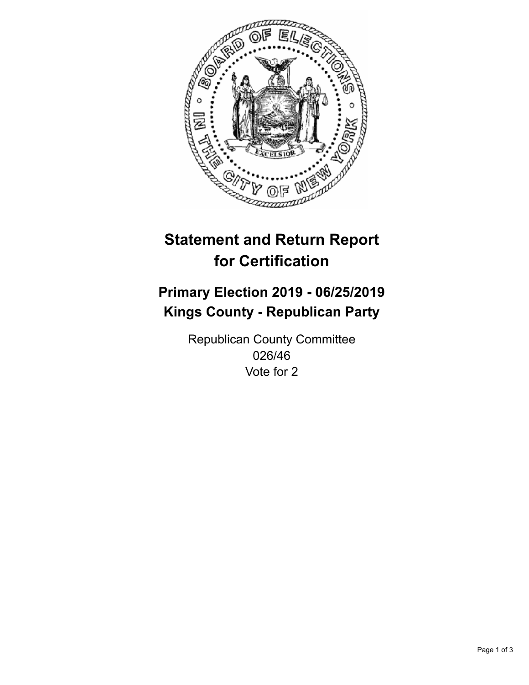

## **Statement and Return Report for Certification**

## **Primary Election 2019 - 06/25/2019 Kings County - Republican Party**

Republican County Committee 026/46 Vote for 2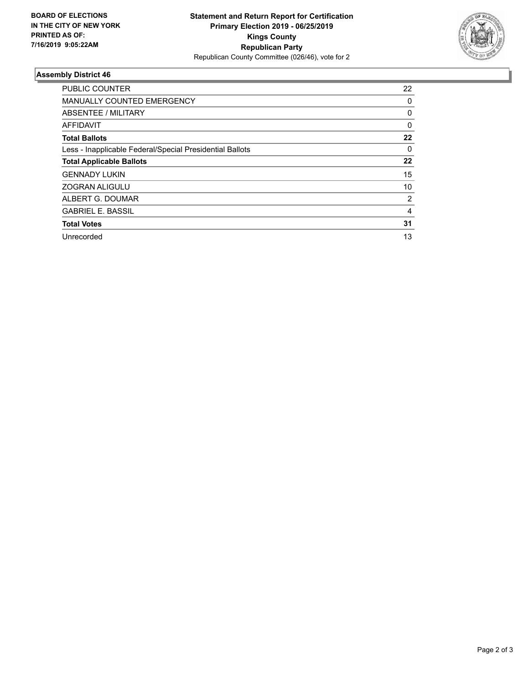

## **Assembly District 46**

| <b>PUBLIC COUNTER</b>                                    | 22       |
|----------------------------------------------------------|----------|
| <b>MANUALLY COUNTED EMERGENCY</b>                        | 0        |
| ABSENTEE / MILITARY                                      | 0        |
| AFFIDAVIT                                                | $\Omega$ |
| <b>Total Ballots</b>                                     | 22       |
| Less - Inapplicable Federal/Special Presidential Ballots | $\Omega$ |
| <b>Total Applicable Ballots</b>                          | 22       |
| <b>GENNADY LUKIN</b>                                     | 15       |
| <b>ZOGRAN ALIGULU</b>                                    | 10       |
| ALBERT G. DOUMAR                                         | 2        |
| <b>GABRIEL E. BASSIL</b>                                 | 4        |
| <b>Total Votes</b>                                       | 31       |
| Unrecorded                                               | 13       |